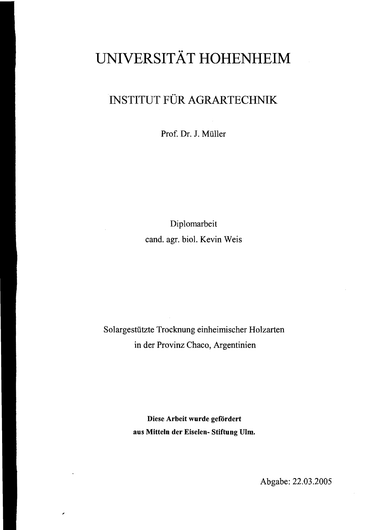## **UNIVERSITÄT HOHENHEIM**

## INSTITUT FÜR AGRARTECHNIK

Prof. Dr. J. Müller

Diplomarbeit cand. agr. biol. Kevin Weis

Solargestützte Trocknung einheimischer Holzarten in der Provinz Chaco, Argentinien

> Diese Arbeit wurde gefördert aus Mitteln der Eiselen- Stiftung Ulm.

> > Abgabe: 22.03.2005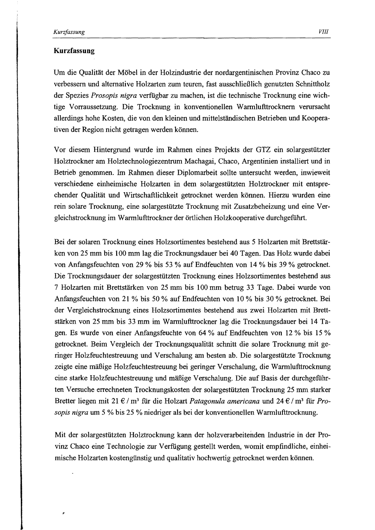۳

## Kurzfassung

Um die Qualität der Möbel in der Holzindustrie der nordargentinischen Provinz Chaco zu verbessern und alternative Holzarten zum teuren, fast ausschließlich genutzten Schnittholz der Spezies *Prosopis ntgra* verfUgbar zu machen, ist die technische Trocknung eine wichtige Vorraussetzung. Die Trocknung in konventionellen Warmlufttrocknem verursacht allerdings hohe Kosten, die von den kleinen und mittelständischen Betrieben und Kooperativen der Region nicht getragen werden können.

Vor diesem Hintergrund wurde im Rahmen eines Projekts der GTZ ein solargestützter Holztrockner am Holztechnologiezentrum Machagai, Chaco, Argentinien installiert und in Betrieb genommen. Im Rahmen dieser Diplomarbeit sollte untersucht werden, inwieweit verschiedene einheimische Holzarten in dem solargestützten Holztrockner mit entsprechender Qualität und Wirtschaftlichkeit getrocknet werden können. Hierzu wurden eine rein solare Trocknung, eine solargestützte Trocknung mit Zusatzbeheizung und eine Vergleichstrocknung im Warrnlufttrockner der örtlichen Holzkooperative durchgeführt.

Bei der solaren Trocknung eines Holzsortimentes bestehend aus 5 Holzarten mit Brettstärken von 25 mm bis 100 mm lag die Trocknungsdauer bei 40 Tagen. Das Holz wurde dabei von Anfangsfeuchten von 29 % bis 53 % auf Endfeuchten von 14 % bis 39 % getrocknet. Die Trocknungsdauer der solargestützten Trocknung eines Holzsortimentes bestehend aus 7 Holzarten mit Brettstärken von 25 mm bis 100 mm betrug 33 Tage. Dabei wurde von Anfangsfeuchten von 21 % bis 50 % auf Endfeuchten von 10 % bis 30 % getrocknet. Bei der Vergleichstrocknung eines Holzsortimentes bestehend aus zwei Holzarten mit Brettstärken von 25 mm bis 33 mm im Warm1ufttrockner lag die Trocknungsdauer bei 14 Tagen. Es wurde von einer Anfangsfeuchte von 64 % auf Endfeuchten von 12 % bis 15 % getrocknet. Beim Vergleich der Trocknungsqualität schnitt die solare Trocknung mit geringer Holzfeuchtestreuung und Verschalung am besten ab. Die solargestützte Trocknung zeigte eine mäßige Holzfeuchtestreuung bei geringer Verschalung, die Warmlufttrocknung eine starke Holzfeuchtestreuung und mäßige Verschalung. Die auf Basis der durchgeführten Versuche errechneten Trocknungskosten der solargestützten Trocknung 25 mm starker Bretter liegen mit 21 € / m3 für die Holzart *Patagonula americana* und 24 € / m3 für *Prosopts nigra* um 5 % bis 25 % niedriger als bei der konventionellen Warmlufttrocknung.

Mit der solargestützten Holztrocknung kann der holzverarbeitenden Industrie in der Provinz Chaco eine Technologie zur Verfiigung gestellt werden, womit empfindliche, einheimische Holzarten kostengünstig und qualitativ hochwertig getrocknet werden können.